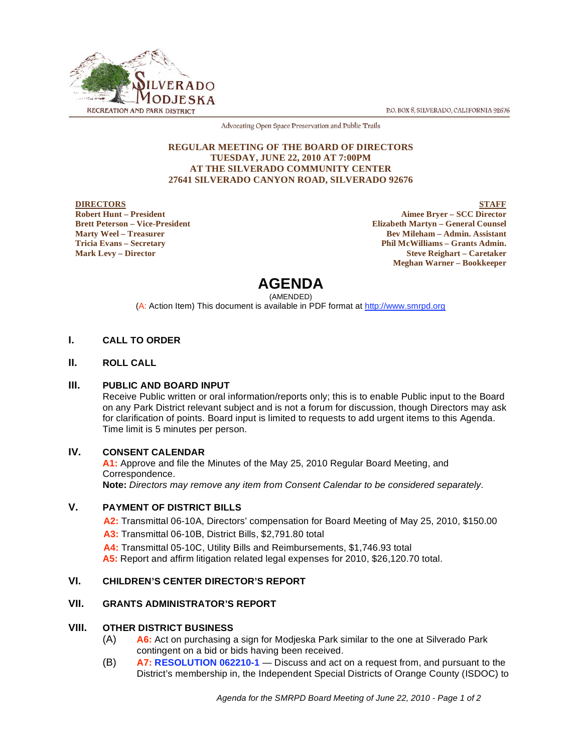



Advocating Open Space Preservation and Public Trails

#### **REGULAR MEETING OF THE BOARD OF DIRECTORS TUESDAY, JUNE 22, 2010 AT 7:00PM AT THE SILVERADO COMMUNITY CENTER 27641 SILVERADO CANYON ROAD, SILVERADO 92676**

**DIRECTORS Robert Hunt – President Brett Peterson – Vice-President Marty Weel – Treasurer Tricia Evans – Secretary Mark Levy – Director**

**STAFF Aimee Bryer – SCC Director Elizabeth Martyn – General Counsel Bev Mileham – Admin. Assistant Phil McWilliams – Grants Admin. Steve Reighart – Caretaker Meghan Warner – Bookkeeper**

# **AGENDA**

(AMENDED)

(A: Action Item) This document is available in PDF format at http://www.smrpd.org

# **I. CALL TO ORDER**

**II. ROLL CALL** 

## **III. PUBLIC AND BOARD INPUT**

Receive Public written or oral information/reports only; this is to enable Public input to the Board on any Park District relevant subject and is not a forum for discussion, though Directors may ask for clarification of points. Board input is limited to requests to add urgent items to this Agenda. Time limit is 5 minutes per person.

# **IV. CONSENT CALENDAR**

**A1:** Approve and file the Minutes of the May 25, 2010 Regular Board Meeting, and Correspondence. **Note:** *Directors may remove any item from Consent Calendar to be considered separately.* 

## **V. PAYMENT OF DISTRICT BILLS**

**A2:** Transmittal 06-10A, Directors' compensation for Board Meeting of May 25, 2010, \$150.00 **A3:** Transmittal 06-10B, District Bills, \$2,791.80 total

**A4:** Transmittal 05-10C, Utility Bills and Reimbursements, \$1,746.93 total

**A5:** Report and affirm litigation related legal expenses for 2010, \$26,120.70 total.

# **VI. CHILDREN'S CENTER DIRECTOR'S REPORT**

## **VII. GRANTS ADMINISTRATOR'S REPORT**

## **VIII. OTHER DISTRICT BUSINESS**

- (A) **A6:** Act on purchasing a sign for Modjeska Park similar to the one at Silverado Park contingent on a bid or bids having been received.
- (B) **A7: RESOLUTION 062210-1** Discuss and act on a request from, and pursuant to the District's membership in, the Independent Special Districts of Orange County (ISDOC) to